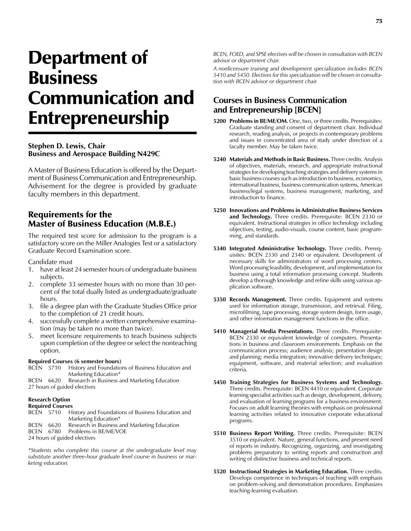# Department of Business Communication and Entrepreneurship

### **Stephen D. Lewis, Chair Business and Aerospace Building N429C**

A Master of Business Education is offered by the Department of Business Communication and Entrepreneurship. Advisement for the degree is provided by graduate faculty members in this department.

# Requirements for the Master of Business Education (M.B.E.)

The required test score for admission to the program is a satisfactory score on the Miller Analogies Test or a satisfactory Graduate Record Examination score.

Candidate must

- 1. have at least 24 semester hours of undergraduate business subjects.
- 2. complete 33 semester hours with no more than 30 percent of the total dually listed as undergraduate/graduate hours.
- 3. file a degree plan with the Graduate Studies Office prior to the completion of 21 credit hours.
- 4. successfully complete a written comprehensive examination (may be taken no more than twice).
- 5. meet licensure requirements to teach business subjects upon completion of the degree or select the nonteaching option.

#### **Required Courses (6 semester hours)**

BCEN 5710 History and Foundations of Business Education and **Marketing Education\***<br>BCEN 6620 Research in Business a Research in Business and Marketing Education 27 hours of guided electives

#### **Research Option Required Courses**

| Required Courses             |      |                                                             |
|------------------------------|------|-------------------------------------------------------------|
|                              |      | BCEN 5710 History and Foundations of Business Education and |
|                              |      | Marketing Education*                                        |
| <b>BCEN</b>                  | 6620 | Research in Business and Marketing Education                |
|                              |      | BCEN 6780 Problems in BE/ME/VOE                             |
| 24 hours of guided electives |      |                                                             |
|                              |      |                                                             |

*\*Students who complete this course at the undergraduate level may substitute another three-hour graduate level course in business or marketing education.* 

*BCEN, FOED, and SPSE electives will be chosen in consultation with BCEN advisor or department chair.*

*A nonlicensure training and development specialization includes BCEN 5410 and 5450. Electives for this specialization will be chosen in consultation with BCEN advisor or department chair.*

# **Courses in Business Communication and Entrepreneurship [BCEN]**

- **5200 Problems in BE/ME/OM.** One, two, or three credits. Prerequisites: Graduate standing and consent of department chair. Individual research, reading analysis, or projects in contemporary problems and issues in concentrated area of study under direction of a faculty member. May be taken twice.
- **5240 Materials and Methods in Basic Business.** Three credits. Analysis of objectives, materials, research, and appropriate instructional strategies for developing teaching strategies and delivery systems in basic business courses such as introduction to business, economics, international business, business communication systems, American business/legal systems, business management, marketing, and introduction to finance.
- **5250 Innovations and Problems in Administrative Business Services and Technology.** Three credits. Prerequisite: BCEN 2330 or equivalent. Instructional strategies in office technology including objectives, testing, audio-visuals, course content, basic programming, and standards.
- **5340 Integrated Administrative Technology.** Three credits. Prerequisites: BCEN 2330 and 2340 or equivalent. Development of necessary skills for administrators of word processing centers. Word processing feasibility, development, and implementation for business using a total information processing concept. Students develop a thorough knowledge and refine skills using various application software.
- **5350 Records Management.** Three credits. Equipment and systems used for information storage, transmission, and retrieval. Filing, microfilming, tape processing, storage system design, form usage, and other information management functions in the office.
- **5410 Managerial Media Presentations.** Three credits. Prerequisite: BCEN 2330 or equivalent knowledge of computers. Presentations in business and classroom environments. Emphasis on the communication process; audience analysis; presentation design and planning; media integration; innovative delivery techniques; equipment, software, and material selection; and evaluation criteria.
- **5450 Training Strategies for Business Systems and Technology.**  Three credits. Prerequisite: BCEN 4410 or equivalent. Corporate learning specialist activities such as design, development, delivery, and evaluation of learning programs for a business environment. Focuses on adult learning theories with emphasis on professional learning activities related to innovative corporate educational programs.
- **5510 Business Report Writing.** Three credits. Prerequisite: BCEN 3510 or equivalent. Nature, general functions, and present need of reports in industry. Recognizing, organizing, and investigating problems preparatory to writing reports and construction and writing of distinctive business and technical reports.
- **5520 Instructional Strategies in Marketing Education.** Three credits. Develops competence in techniques of teaching with emphasis on problem-solving and demonstration procedures. Emphasizes teaching-learning evaluation.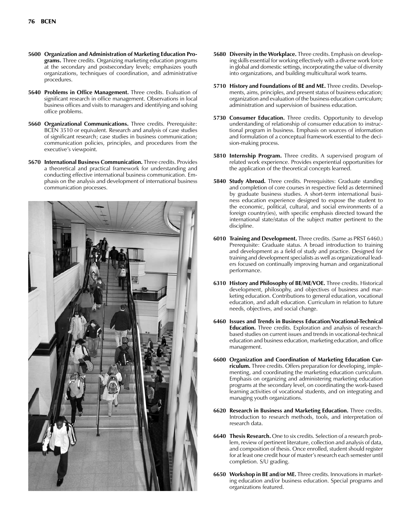- **5600 Organization and Administration of Marketing Education Programs.** Three credits. Organizing marketing education programs at the secondary and postsecondary levels; emphasizes youth organizations, techniques of coordination, and administrative procedures.
- **5640 Problems in Office Management.** Three credits. Evaluation of significant research in office management. Observations in local business offices and visits to managers and identifying and solving office problems.
- **5660 Organizational Communications.** Three credits. Prerequisite: BCEN 3510 or equivalent. Research and analysis of case studies of significant research; case studies in business communication; communication policies, principles, and procedures from the executive's viewpoint.
- **5670 International Business Communication.** Three credits. Provides a theoretical and practical framework for understanding and conducting effective international business communication. Emphasis on the analysis and development of international business communication processes.



- **5680 Diversity in the Workplace.** Three credits. Emphasis on developing skills essential for working effectively with a diverse work force in global and domestic settings, incorporating the value of diversity into organizations, and building multicultural work teams.
- **5710 History and Foundations of BE and ME.** Three credits. Developments, aims, principles, and present status of business education; organization and evaluation of the business education curriculum; administration and supervision of business education.
- **5730 Consumer Education.** Three credits. Opportunity to develop understanding of relationship of consumer education to instructional program in business. Emphasis on sources of information and formulation of a conceptual framework essential to the decision-making process.
- **5810 Internship Program.** Three credits. A supervised program of related work experience. Provides experiential opportunities for the application of the theoretical concepts learned.
- **5840 Study Abroad.** Three credits. Prerequisites: Graduate standing and completion of core courses in respective field as determined by graduate business studies. A short-term international business education experience designed to expose the student to the economic, political, cultural, and social environments of a foreign country(ies), with specific emphasis directed toward the international state/status of the subject matter pertinent to the discipline.
- **6010 Training and Development.** Three credits. (Same as PRST 6460.) Prerequisite: Graduate status. A broad introduction to training and development as a field of study and practice. Designed for training and development specialists as well as organizational leaders focused on continually improving human and organizational performance.
- **6310 History and Philosophy of BE/ME/VOE.** Three credits. Historical development, philosophy, and objectives of business and marketing education. Contributions to general education, vocational education, and adult education. Curriculum in relation to future needs, objectives, and social change.
- **6460 Issues and Trends in Business Education/Vocational-Technical Education.** Three credits. Exploration and analysis of researchbased studies on current issues and trends in vocational-technical education and business education, marketing education, and office management.
- **6600 Organization and Coordination of Marketing Education Curriculum.** Three credits. Offers preparation for developing, implementing, and coordinating the marketing education curriculum. Emphasis on organizing and administering marketing education programs at the secondary level, on coordinating the work-based learning activities of vocational students, and on integrating and managing youth organizations.
- **6620 Research in Business and Marketing Education.** Three credits. Introduction to research methods, tools, and interpretation of research data.
- **6640 Thesis Research.** One to six credits. Selection of a research problem, review of pertinent literature, collection and analysis of data, and composition of thesis. Once enrolled, student should register for at least one credit hour of master's research each semester until completion. S/U grading.
- **6650 Workshop in BE and/or ME.** Three credits. Innovations in marketing education and/or business education. Special programs and organizations featured.